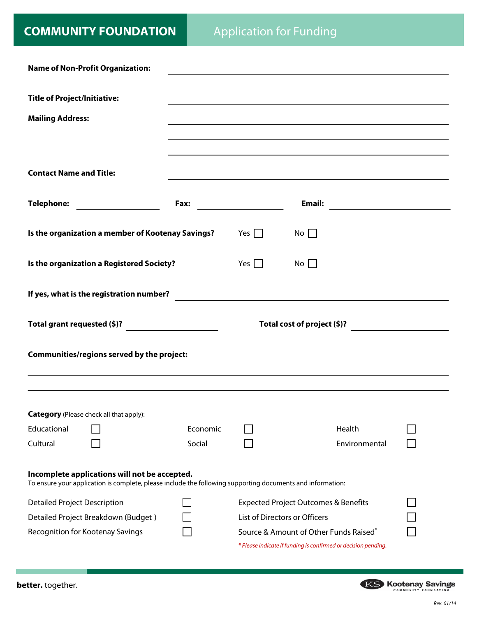|                                     | <b>Name of Non-Profit Organization:</b>                                                                                                                     |          |            |                                                 |                                                                                                                                                                                                                               |  |
|-------------------------------------|-------------------------------------------------------------------------------------------------------------------------------------------------------------|----------|------------|-------------------------------------------------|-------------------------------------------------------------------------------------------------------------------------------------------------------------------------------------------------------------------------------|--|
|                                     |                                                                                                                                                             |          |            |                                                 |                                                                                                                                                                                                                               |  |
| <b>Title of Project/Initiative:</b> |                                                                                                                                                             |          |            |                                                 |                                                                                                                                                                                                                               |  |
| <b>Mailing Address:</b>             |                                                                                                                                                             |          |            |                                                 |                                                                                                                                                                                                                               |  |
|                                     |                                                                                                                                                             |          |            |                                                 |                                                                                                                                                                                                                               |  |
|                                     |                                                                                                                                                             |          |            |                                                 |                                                                                                                                                                                                                               |  |
| <b>Contact Name and Title:</b>      |                                                                                                                                                             |          |            |                                                 | the control of the control of the control of the control of the control of the control of the control of the control of the control of the control of the control of the control of the control of the control of the control |  |
|                                     |                                                                                                                                                             |          |            |                                                 |                                                                                                                                                                                                                               |  |
|                                     |                                                                                                                                                             |          |            |                                                 |                                                                                                                                                                                                                               |  |
|                                     |                                                                                                                                                             |          |            |                                                 |                                                                                                                                                                                                                               |  |
|                                     | Is the organization a member of Kootenay Savings?                                                                                                           |          | Yes $\Box$ | $No \Box$                                       |                                                                                                                                                                                                                               |  |
|                                     | Is the organization a Registered Society?                                                                                                                   |          | Yes $\Box$ | $No \Box$                                       |                                                                                                                                                                                                                               |  |
|                                     |                                                                                                                                                             |          |            |                                                 |                                                                                                                                                                                                                               |  |
|                                     | If yes, what is the registration number?                                                                                                                    |          |            |                                                 |                                                                                                                                                                                                                               |  |
|                                     |                                                                                                                                                             |          |            |                                                 |                                                                                                                                                                                                                               |  |
|                                     |                                                                                                                                                             |          |            |                                                 |                                                                                                                                                                                                                               |  |
|                                     |                                                                                                                                                             |          |            |                                                 |                                                                                                                                                                                                                               |  |
|                                     |                                                                                                                                                             |          |            |                                                 | Total cost of project (\$)?                                                                                                                                                                                                   |  |
|                                     | Communities/regions served by the project:                                                                                                                  |          |            |                                                 |                                                                                                                                                                                                                               |  |
|                                     |                                                                                                                                                             |          |            |                                                 |                                                                                                                                                                                                                               |  |
|                                     |                                                                                                                                                             |          |            |                                                 |                                                                                                                                                                                                                               |  |
|                                     |                                                                                                                                                             |          |            |                                                 |                                                                                                                                                                                                                               |  |
|                                     | <b>Category</b> (Please check all that apply):                                                                                                              |          |            |                                                 |                                                                                                                                                                                                                               |  |
| Educational                         |                                                                                                                                                             | Economic |            |                                                 | Health                                                                                                                                                                                                                        |  |
| Cultural                            |                                                                                                                                                             | Social   |            |                                                 | Environmental                                                                                                                                                                                                                 |  |
|                                     |                                                                                                                                                             |          |            |                                                 |                                                                                                                                                                                                                               |  |
|                                     | Incomplete applications will not be accepted.<br>To ensure your application is complete, please include the following supporting documents and information: |          |            |                                                 |                                                                                                                                                                                                                               |  |
| <b>Detailed Project Description</b> |                                                                                                                                                             |          |            | <b>Expected Project Outcomes &amp; Benefits</b> |                                                                                                                                                                                                                               |  |
|                                     | Detailed Project Breakdown (Budget)                                                                                                                         |          |            | List of Directors or Officers                   |                                                                                                                                                                                                                               |  |
| Recognition for Kootenay Savings    |                                                                                                                                                             |          |            | Source & Amount of Other Funds Raised*          |                                                                                                                                                                                                                               |  |